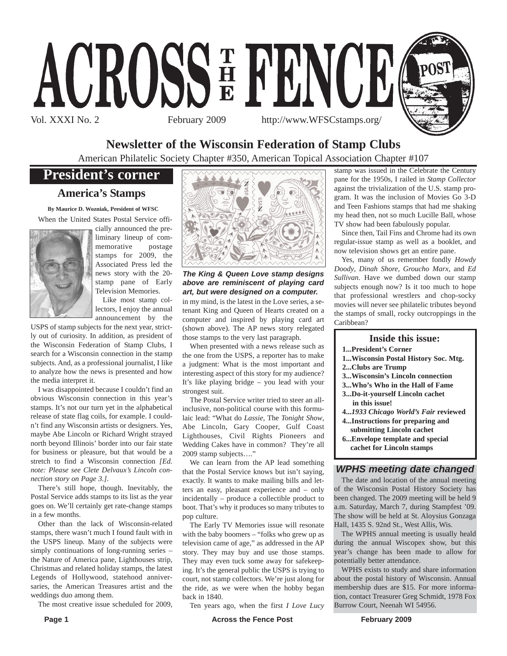

## **Newsletter of the Wisconsin Federation of Stamp Clubs**

American Philatelic Society Chapter #350, American Topical Association Chapter #107

# **President's corner**

### **America's Stamps**

**By Maurice D. Wozniak, President of WFSC** When the United States Postal Service offi-



cially announced the preliminary lineup of commemorative postage stamps for 2009, the Associated Press led the news story with the 20 stamp pane of Early Television Memories.

Like most stamp collectors, I enjoy the annual announcement by the

USPS of stamp subjects for the next year, strictly out of curiosity. In addition, as president of the Wisconsin Federation of Stamp Clubs, I search for a Wisconsin connection in the stamp subjects. And, as a professional journalist, I like to analyze how the news is presented and how the media interpret it.

I was disappointed because I couldn't find an obvious Wisconsin connection in this year's stamps. It's not our turn yet in the alphabetical release of state flag coils, for example. I couldn't find any Wisconsin artists or designers. Yes, maybe Abe Lincoln or Richard Wright strayed north beyond Illinois' border into our fair state for business or pleasure, but that would be a stretch to find a Wisconsin connection *[Ed. note: Please see Clete Delvaux's Lincoln connection story on Page 3.]*.

There's still hope, though. Inevitably, the Postal Service adds stamps to its list as the year goes on. We'll certainly get rate-change stamps in a few months.

Other than the lack of Wisconsin-related stamps, there wasn't much I found fault with in the USPS lineup. Many of the subjects were simply continuations of long-running series – the Nature of America pane, Lighthouses strip, Christmas and related holiday stamps, the latest Legends of Hollywood, statehood anniversaries, the American Treasures artist and the weddings duo among them.

The most creative issue scheduled for 2009,



*The King & Queen Love stamp designs above are reminiscent of playing card art, but were designed on a computer.*

in my mind, is the latest in the Love series, a setenant King and Queen of Hearts created on a computer and inspired by playing card art (shown above). The AP news story relegated those stamps to the very last paragraph.

When presented with a news release such as the one from the USPS, a reporter has to make a judgment: What is the most important and interesting aspect of this story for my audience? It's like playing bridge – you lead with your strongest suit.

The Postal Service writer tried to steer an allinclusive, non-political course with this formulaic lead: "What do *Lassie*, The *Tonight Show*, Abe Lincoln, Gary Cooper, Gulf Coast Lighthouses, Civil Rights Pioneers and Wedding Cakes have in common? They're all 2009 stamp subjects…."

We can learn from the AP lead something that the Postal Service knows but isn't saying, exactly. It wants to make mailing bills and letters an easy, pleasant experience and – only incidentally – produce a collectible product to boot. That's why it produces so many tributes to pop culture.

The Early TV Memories issue will resonate with the baby boomers – "folks who grew up as television came of age," as addressed in the AP story. They may buy and use those stamps. They may even tuck some away for safekeeping. It's the general public the USPS is trying to court, not stamp collectors. We're just along for the ride, as we were when the hobby began back in 1840.

Ten years ago, when the first *I Love Lucy*

stamp was issued in the Celebrate the Century pane for the 1950s, I railed in *Stamp Collector* against the trivialization of the U.S. stamp program. It was the inclusion of Movies Go 3-D and Teen Fashions stamps that had me shaking my head then, not so much Lucille Ball, whose TV show had been fabulously popular.

Since then, Tail Fins and Chrome had its own regular-issue stamp as well as a booklet, and now television shows get an entire pane.

Yes, many of us remember fondly *Howdy Doody*, *Dinah Shore*, *Groucho Marx*, and *Ed Sullivan*. Have we dumbed down our stamp subjects enough now? Is it too much to hope that professional wrestlers and chop-socky movies will never see philatelic tributes beyond the stamps of small, rocky outcroppings in the Caribbean?

#### **Inside this issue:**

- **1...President's Corner**
- **1...Wisconsin Postal History Soc. Mtg.**
- **2...Clubs are Trump**
- **3...Wisconsin's Lincoln connection**
- **3...Who's Who in the Hall of Fame**
- **3...Do-it-yourself Lincoln cachet in this issue!**
- **4...***1933 Chicago World's Fair* **reviewed**
- **4...Instructions for preparing and submitting Lincoln cachet**
- **6...Envelope template and special cachet for Lincoln stamps**

### *WPHS meeting date changed*

The date and location of the annual meeting of the Wisconsin Postal History Society has been changed. The 2009 meeting will be held 9 a.m. Saturday, March 7, during Stampfest '09. The show will be held at St. Aloysius Gonzaga Hall, 1435 S. 92nd St., West Allis, Wis.

The WPHS annual meeting is usually heald during the annual Wiscopex show, but this year's change has been made to allow for potentially better attendance.

WPHS exists to study and share information about the postal history of Wisconsin. Annual membership dues are \$15. For more information, contact Treasurer Greg Schmidt, 1978 Fox Burrow Court, Neenah WI 54956.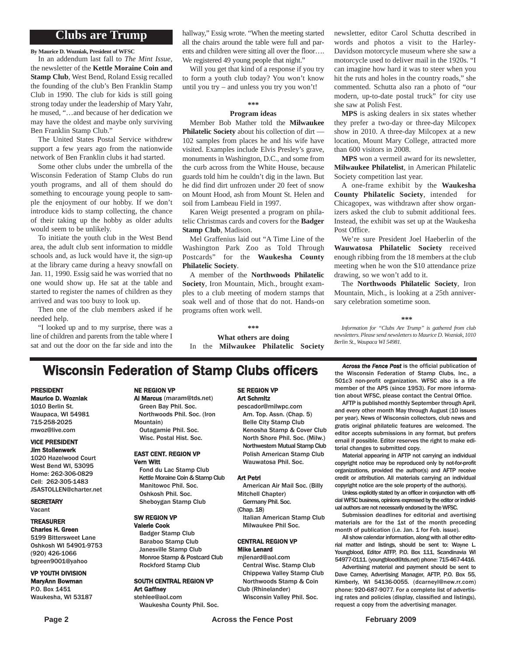### **Clubs are Trump**

**By Maurice D. Wozniak, President of WFSC**

In an addendum last fall to *The Mint Issue*, the newsletter of the **Kettle Moraine Coin and Stamp Club**, West Bend, Roland Essig recalled the founding of the club's Ben Franklin Stamp Club in 1990. The club for kids is still going strong today under the leadership of Mary Yahr, he mused, "…and because of her dedication we may have the oldest and maybe only surviving Ben Franklin Stamp Club."

The United States Postal Service withdrew support a few years ago from the nationwide network of Ben Franklin clubs it had started.

Some other clubs under the umbrella of the Wisconsin Federation of Stamp Clubs do run youth programs, and all of them should do something to encourage young people to sample the enjoyment of our hobby. If we don't introduce kids to stamp collecting, the chance of their taking up the hobby as older adults would seem to be unlikely.

To initiate the youth club in the West Bend area, the adult club sent information to middle schools and, as luck would have it, the sign-up at the library came during a heavy snowfall on Jan. 11, 1990. Essig said he was worried that no one would show up. He sat at the table and started to register the names of children as they arrived and was too busy to look up.

Then one of the club members asked if he needed help.

"I looked up and to my surprise, there was a line of children and parents from the table where I sat and out the door on the far side and into the hallway," Essig wrote. "When the meeting started all the chairs around the table were full and parents and children were sitting all over the floor…. We registered 49 young people that night."

Will you get that kind of a response if you try to form a youth club today? You won't know until you try – and unless you try you won't!

#### **\*\*\***

#### **Program ideas**

Member Bob Mather told the **Milwaukee Philatelic Society** about his collection of dirt — 102 samples from places he and his wife have visited. Examples include Elvis Presley's grave, monuments in Washington, D.C., and some from the curb across from the White House, because guards told him he couldn't dig in the lawn. But he did find dirt unfrozen under 20 feet of snow on Mount Hood, ash from Mount St. Helen and soil from Lambeau Field in 1997.

Karen Weigt presented a program on philatelic Christmas cards and covers for the **Badger Stamp Club**, Madison.

Mel Graffenius laid out "A Time Line of the Washington Park Zoo as Told Through Postcards" for the **Waukesha County Philatelic Society**.

A member of the **Northwoods Philatelic Society**, Iron Mountain, Mich., brought examples to a club meeting of modern stamps that soak well and of those that do not. Hands-on programs often work well.

**\*\*\***

**What others are doing** In the **Milwaukee Philatelic Society** newsletter, editor Carol Schutta described in words and photos a visit to the Harley-Davidson motorcycle museum where she saw a motorcycle used to deliver mail in the 1920s. "I can imagine how hard it was to steer when you hit the ruts and holes in the country roads," she commented. Schutta also ran a photo of "our modern, up-to-date postal truck" for city use she saw at Polish Fest.

**MPS** is asking dealers in six states whether they prefer a two-day or three-day Milcopex show in 2010. A three-day Milcopex at a new location, Mount Mary College, attracted more than 600 visitors in 2008.

**MPS** won a vermeil award for its newsletter, **Milwaukee Philatelist**, in American Philatelic Society competition last year.

A one-frame exhibit by the **Waukesha County Philatelic Society**, intended for Chicagopex, was withdrawn after show organizers asked the club to submit additional fees. Instead, the exhibit was set up at the Waukesha Post Office.

We're sure President Joel Haeberlin of the **Wauwatosa Philatelic Society** received enough ribbing from the 18 members at the club meeting when he won the \$10 attendance prize drawing, so we won't add to it.

The **Northwoods Philatelic Society**, Iron Mountain, Mich., is looking at a 25th anniversary celebration sometime soon.

#### **\*\*\***

*Information for "Clubs Are Trump" is gathered from club newsletters. Please send newsletters to Maurice D. Wozniak, 1010 Berlin St., Waupaca WI 54981.*

# **Wisconsin Federation of Stamp Clubs officers** *Across the Fence Post* is the official publication of

#### PRESIDENT Maurice D. Wozniak

1010 Berlin St. Waupaca, WI 54981 715-258-2025 mwoz@live.com

#### VICE PRESIDENT Jim Stollenwerk

1020 Hazelwood Court West Bend WI, 53095 Home: 262-306-0829 Cell: 262-305-1483 JSASTOLLEN@charter.net

**SECRETARY** Vacant

#### TREASURER Charles H. Green

5199 Bittersweet Lane Oshkosh WI 54901-9753 (920) 426-1066 bgreen9001@yahoo

#### VP YOUTH DIVISION MaryAnn Bowman P.O. Box 1451

Waukesha, WI 53187

#### NE REGION VP

Al Marcus (maram@tds.net) Green Bay Phil. Soc. Northwoods Phil. Soc. (Iron Mountain) Outagamie Phil. Soc. Wisc. Postal Hist. Soc.

#### EAST CENT. REGION VP Vern Witt

Fond du Lac Stamp Club Kettle Moraine Coin & Stamp Club Manitowoc Phil. Soc. Oshkosh Phil. Soc. Sheboygan Stamp Club

#### SW REGION VP

Valerie Cook Badger Stamp Club Baraboo Stamp Club Janesville Stamp Club Monroe Stamp & Postcard Club Rockford Stamp Club

#### SOUTH CENTRAL REGION VP Art Gaffney stehlee@aol.com

Waukesha County Phil. Soc.

#### SE REGION VP Art Schmitz

pescador@milwpc.com Am. Top. Assn. (Chap. 5) Belle City Stamp Club Kenosha Stamp & Cover Club North Shore Phil. Soc. (Milw.) Northwestern Mutual Stamp Club Polish American Stamp Club Wauwatosa Phil. Soc.

#### Art Petri

American Air Mail Soc. (Billy Mitchell Chapter)

- Germany Phil. Soc. (Chap. 18)
	- Italian American Stamp Club Milwaukee Phil Soc.

#### CENTRAL REGION VP Mike Lenard

mjlenard@aol.com Central Wisc. Stamp Club

- Chippewa Valley Stamp Club Northwoods Stamp & Coin Club (Rhinelander)
- Wisconsin Valley Phil. Soc.

the Wisconsin Federation of Stamp Clubs, Inc., a 501c3 non-profit organization. WFSC also is a life member of the APS (since 1953). For more information about WFSC, please contact the Central Office.

AFTP is published monthly September through April, and every other month May through August (10 issues per year). News of Wisconsin collectors, club news and gratis original philatelic features are welcomed. The editor accepts submissions in any format, but prefers email if possible. Editor reserves the right to make editorial changes to submitted copy.

Material appearing in AFTP not carrying an individual copyright notice may be reproduced only by not-for-profit organizations, provided the author(s) and AFTP receive credit or attribution. All materials carrying an individual copyright notice are the sole property of the author(s).

Unless explicitly stated by an officer in conjunction with official WFSC business, opinions expressed by the editor or individual authors are not necessarily endorsed by the WFSC.

Submission deadlines for editorial and avertising materials are for the 1st of the month preceding month of publication (i.e. Jan. 1 for Feb. issue).

All show calendar information, along with all other editorial matter and listings, should be sent to: Wayne L. Youngblood, Editor ATFP, P.O. Box 111, Scandinavia WI 54977-0111. (youngblood@tds.net) phone: 715-467-4416.

Advertising material and payment should be sent to Dave Carney, Advertising Manager, AFTP, P.O. Box 55, Kimberly, WI 54136-0055. (dcarneyl@new.rr.com) phone: 920-687-9077. For a complete list of advertising rates and policies (display, classified and listings), request a copy from the advertising manager.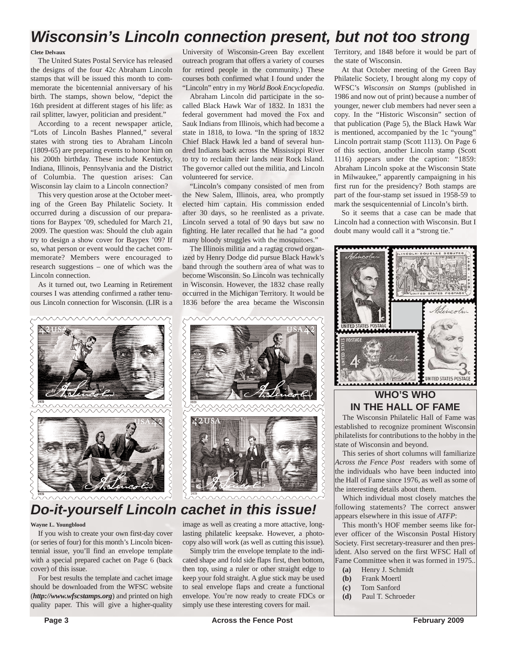# *Wisconsin's Lincoln connection present, but not too strong*

#### **Clete Delvaux**

The United States Postal Service has released the designs of the four 42c Abraham Lincoln stamps that will be issued this month to commemorate the bicentennial anniversary of his birth. The stamps, shown below, "depict the 16th president at different stages of his life: as rail splitter, lawyer, politician and president."

According to a recent newspaper article, "Lots of Lincoln Bashes Planned," several states with strong ties to Abraham Lincoln (1809-65) are preparing events to honor him on his 200th birthday. These include Kentucky, Indiana, Illinois, Pennsylvania and the District of Columbia. The question arises: Can Wisconsin lay claim to a Lincoln connection?

This very question arose at the October meeting of the Green Bay Philatelic Society. It occurred during a discussion of our preparations for Baypex '09, scheduled for March 21, 2009. The question was: Should the club again try to design a show cover for Baypex '09? If so, what person or event would the cachet commemorate? Members were encouraged to research suggestions – one of which was the Lincoln connection.

As it turned out, two Learning in Retirement courses I was attending confirmed a rather tenuous Lincoln connection for Wisconsin. (LIR is a



# *Do-it-yourself Lincoln cachet in this issue!*

#### **Wayne L. Youngblood**

If you wish to create your own first-day cover (or series of four) for this month's Lincoln bicentennial issue, you'll find an envelope template with a special prepared cachet on Page 6 (back cover) of this issue.

For best results the template and cachet image should be downloaded from the WFSC website (*http://www.wfscstamps.org*) and printed on high quality paper. This will give a higher-quality

University of Wisconsin-Green Bay excellent outreach program that offers a variety of courses for retired people in the community.) These courses both confirmed what I found under the "Lincoln" entry in my *World Book Encyclopedia*.

Abraham Lincoln did participate in the socalled Black Hawk War of 1832. In 1831 the federal government had moved the Fox and Sauk Indians from Illinois, which had become a state in 1818, to Iowa. "In the spring of 1832 Chief Black Hawk led a band of several hundred Indians back across the Mississippi River to try to reclaim their lands near Rock Island. The governor called out the militia, and Lincoln volunteered for service.

"Lincoln's company consisted of men from the New Salem, Illinois, area, who promptly elected him captain. His commission ended after 30 days, so he reenlisted as a private. Lincoln served a total of 90 days but saw no fighting. He later recalled that he had "a good many bloody struggles with the mosquitoes."

The Illinois militia and a ragtag crowd organized by Henry Dodge did pursue Black Hawk's band through the southern area of what was to become Wisconsin. So Lincoln was technically in Wisconsin. However, the 1832 chase really occurred in the Michigan Territory. It would be 1836 before the area became the Wisconsin



image as well as creating a more attactive, longlasting philatelic keepsake. However, a photocopy also will work (as well as cutting this issue).

Simply trim the envelope template to the indicated shape and fold side flaps first, then bottom, then top, using a ruler or other straight edge to keep your fold straight. A glue stick may be used to seal envelope flaps and create a functional envelope. You're now ready to create FDCs or simply use these interesting covers for mail.

Territory, and 1848 before it would be part of the state of Wisconsin.

At that October meeting of the Green Bay Philatelic Society, I brought along my copy of WFSC's *Wisconsin on Stamps* (published in 1986 and now out of print) because a number of younger, newer club members had never seen a copy. In the "Historic Wisconsin" section of that publication (Page 5), the Black Hawk War is mentioned, accompanied by the 1c "young" Lincoln portrait stamp (Scott 1113). On Page 6 of this section, another Lincoln stamp (Scott 1116) appears under the caption: "1859: Abraham Lincoln spoke at the Wisconsin State in Milwaukee," apparently campaigning in his first run for the presidency? Both stamps are part of the four-stamp set issued in 1958-59 to mark the sesquicentennial of Lincoln's birth.

So it seems that a case can be made that Lincoln had a connection with Wisconsin. But I doubt many would call it a "strong tie."



### **WHO'S WHO IN THE HALL OF FAME**

The Wisconsin Philatelic Hall of Fame was established to recognize prominent Wisconsin philatelists for contributions to the hobby in the state of Wisconsin and beyond.

This series of short columns will familiarize *Across the Fence Post* readers with some of the individuals who have been inducted into the Hall of Fame since 1976, as well as some of the interesting details about them.

Which individual most closely matches the following statements? The correct answer appears elsewhere in this issue of *ATFP*:

This month's HOF member seems like forever officer of the Wisconsin Postal History Society. First secretary-treasurer and then president. Also served on the first WFSC Hall of Fame Committee when it was formed in 1975..

- **(a)** Henry J. Schmidt
- **(b)** Frank Moertl
- **(c)** Tom Sanford
- **(d)** Paul T. Schroeder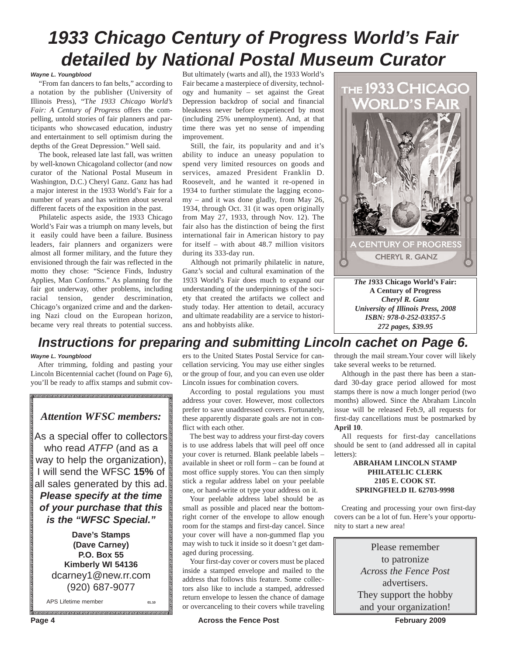# *1933 Chicago Century of Progress World's Fair detailed by National Postal Museum Curator*

#### *Wayne L. Youngblood*

"From fan dancers to fan belts," according to a notation by the publisher (University of Illinois Press), "T*he 1933 Chicago World's Fair: A Century of Progress* offers the compelling, untold stories of fair planners and participants who showcased education, industry and entertainment to sell optimism during the depths of the Great Depression." Well said.

The book, released late last fall, was written by well-known Chicagoland collector (and now curator of the National Postal Museum in Washington, D.C.) Cheryl Ganz. Ganz has had a major interest in the 1933 World's Fair for a number of years and has written about several different facets of the exposition in the past.

Philatelic aspects aside, the 1933 Chicago World's Fair was a triumph on many levels, but it easily could have been a failure. Business leaders, fair planners and organizers were almost all former military, and the future they envisioned through the fair was reflected in the motto they chose: "Science Finds, Industry Applies, Man Conforms." As planning for the fair got underway, other problems, including racial tension, gender descrimination, Chicago's organized crime and and the darkening Nazi cloud on the European horizon, became very real threats to potential success.

But ultimately (warts and all), the 1933 World's Fair became a masterpiece of diversity, technology and humanity – set against the Great Depression backdrop of social and financial bleakness never before experienced by most (including 25% unemployment). And, at that time there was yet no sense of impending improvement.

Still, the fair, its popularity and and it's ability to induce an uneasy population to spend very limited resources on goods and services, amazed President Franklin D. Roosevelt, and he wanted it re-opened in 1934 to further stimulate the lagging economy – and it was done gladly, from May 26, 1934, through Oct. 31 (it was open originally from May 27, 1933, through Nov. 12). The fair also has the distinction of being the first international fair in American history to pay for itself – with about 48.7 million visitors during its 333-day run.

Although not primarily philatelic in nature, Ganz's social and cultural examination of the 1933 World's Fair does much to expand our understanding of the underpinnings of the society that created the artifacts we collect and study today. Her attention to detail, accuracy and ultimate readability are a service to historians and hobbyists alike.



## *Instructions for preparing and submitting Lincoln cachet on Page 6.*

#### *Wayne L. Youngblood*

After trimming, folding and pasting your Lincoln Bicentennial cachet (found on Page 6), you'll be ready to affix stamps and submit cov-

### *Attention WFSC members:*

As a special offer to collectors who read *ATFP* (and as a way to help the organization), I will send the WFSC **15%** of all sales generated by this ad.

*Please specify at the time of your purchase that this is the "WFSC Special."*

**Dave's Stamps (Dave Carney) P.O. Box 55 Kimberly WI 54136** dcarney1@new.rr.com (920) 687-9077

APS Lifetime member **01.10**

ers to the United States Postal Service for cancellation servicing. You may use either singles or the group of four, and you can even use older Lincoln issues for combination covers.

According to postal regulations you must address your cover. However, most collectors prefer to save unaddressed covers. Fortunately, these apparently disparate goals are not in conflict with each other.

The best way to address your first-day covers is to use address labels that will peel off once your cover is returned. Blank peelable labels – available in sheet or roll form – can be found at most office supply stores. You can then simply stick a regular address label on your peelable one, or hand-write ot type your address on it.

Your peelable address label should be as small as possible and placed near the bottomright corner of the envelope to allow enough room for the stamps and first-day cancel. Since your cover will have a non-gummed flap you may wish to tuck it inside so it doesn't get damaged during processing.

Your first-day cover or covers must be placed inside a stamped envelope and mailed to the address that follows this feature. Some collectors also like to include a stamped, addressed return envelope to lessen the chance of damage or overcanceling to their covers while traveling

through the mail stream.Your cover will likely take several weeks to be returned.

*272 pages, \$39.95*

Although in the past there has been a standard 30-day grace period allowed for most stamps there is now a much longer period (two months) allowed. Since the Abraham Lincoln issue will be released Feb.9, all requests for first-day cancellations must be postmarked by **April 10**.

All requests for first-day cancellations should be sent to (and addressed all in capital letters):

#### **ABRAHAM LINCOLN STAMP PHILATELIC CLERK 2105 E. COOK ST. SPRINGFIELD IL 62703-9998**

Creating and processing your own first-day covers can be a lot of fun. Here's your opportunity to start a new area!

> Please remember to patronize *Across the Fence Post* advertisers. They support the hobby and your organization!

**Page 4 Across the Fence Post February 2009 February 2009**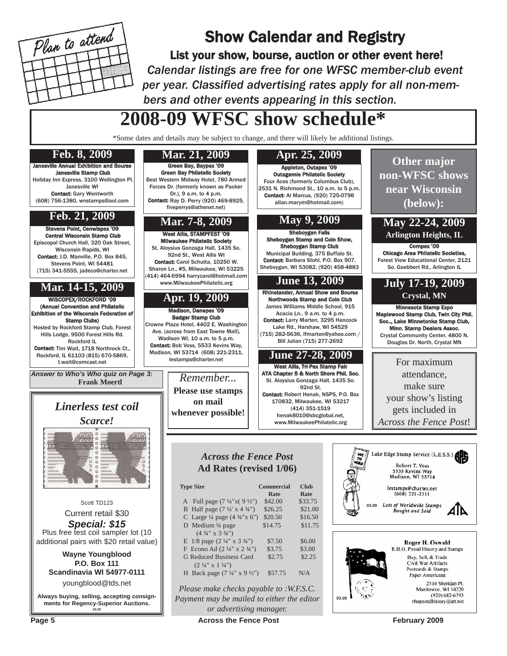

# Show Calendar and Registry

List your show, bourse, auction or other event here! *Calendar listings are free for one WFSC member-club event per year. Classified advertising rates apply for all non-members and other events appearing in this section.*

# **2008-09 WFSC show schedule\***

\*Some dates and details may be subject to change, and there will likely be additional listings.